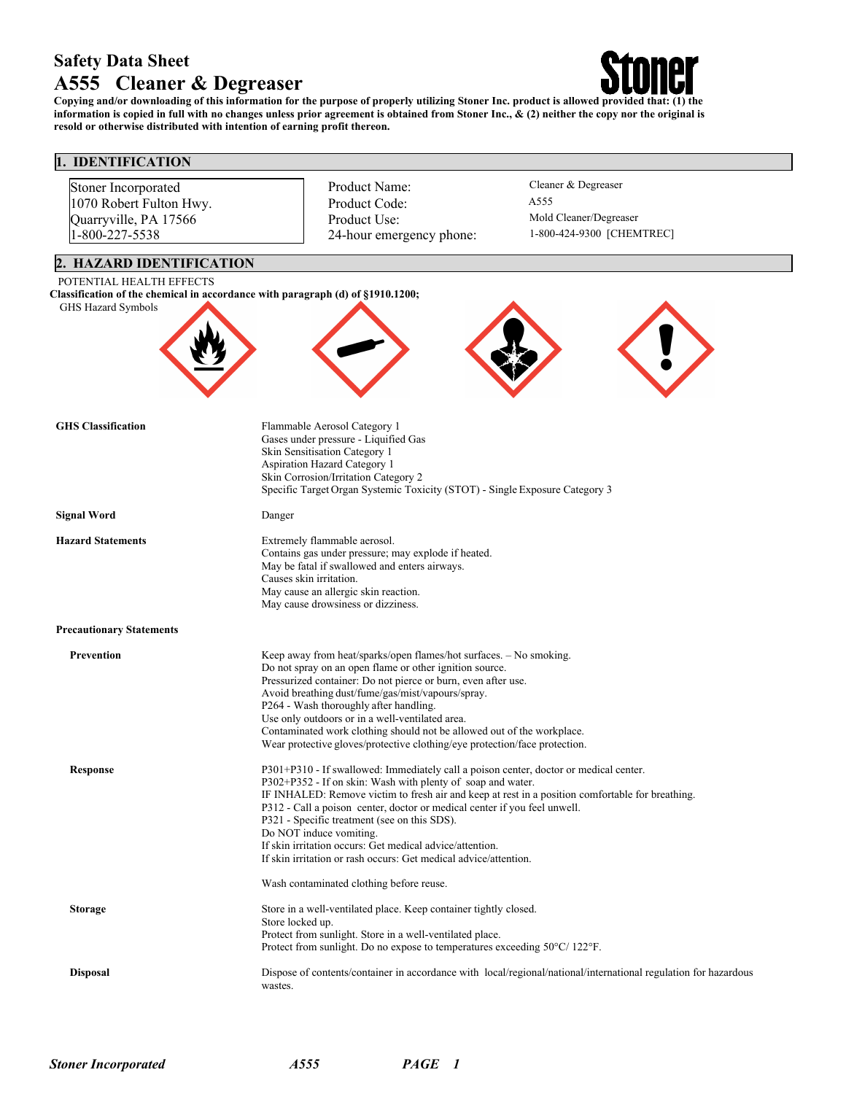# **Safety Data Sheet A555 Cleaner & Degreaser**



Copying and/or downloading of this information for the purpose of properly utilizing Stoner Inc. product is allowed provided that: (1) the information is copied in full with no changes unless prior agreement is obtained from Stoner Inc.,  $\&$  (2) neither the copy nor the original is **resold or otherwise distributed with intention of earning profit thereon.**

# **1. IDENTIFICATION**

| Stoner Incorporated<br>1070 Robert Fulton Hwy.<br>Quarryville, PA 17566<br>1-800-227-5538            |                                                                                                                                                                                                                                                                                                                                                                                                                                                                                                          | Product Name:<br>Product Code:<br>Product Use:<br>24-hour emergency phone:                                                                                                                                                                                                                                                                                                                                        | Cleaner & Degreaser<br>A555<br>Mold Cleaner/Degreaser<br>1-800-424-9300 [CHEMTREC]               |  |  |  |
|------------------------------------------------------------------------------------------------------|----------------------------------------------------------------------------------------------------------------------------------------------------------------------------------------------------------------------------------------------------------------------------------------------------------------------------------------------------------------------------------------------------------------------------------------------------------------------------------------------------------|-------------------------------------------------------------------------------------------------------------------------------------------------------------------------------------------------------------------------------------------------------------------------------------------------------------------------------------------------------------------------------------------------------------------|--------------------------------------------------------------------------------------------------|--|--|--|
| 2. HAZARD IDENTIFICATION<br>POTENTIAL HEALTH EFFECTS                                                 |                                                                                                                                                                                                                                                                                                                                                                                                                                                                                                          |                                                                                                                                                                                                                                                                                                                                                                                                                   |                                                                                                  |  |  |  |
| Classification of the chemical in accordance with paragraph (d) of §1910.1200;<br>GHS Hazard Symbols |                                                                                                                                                                                                                                                                                                                                                                                                                                                                                                          |                                                                                                                                                                                                                                                                                                                                                                                                                   |                                                                                                  |  |  |  |
| <b>GHS</b> Classification                                                                            |                                                                                                                                                                                                                                                                                                                                                                                                                                                                                                          | Flammable Aerosol Category 1<br>Gases under pressure - Liquified Gas<br>Skin Sensitisation Category 1<br>Aspiration Hazard Category 1<br>Skin Corrosion/Irritation Category 2<br>Specific Target Organ Systemic Toxicity (STOT) - Single Exposure Category 3                                                                                                                                                      |                                                                                                  |  |  |  |
| <b>Signal Word</b>                                                                                   | Danger                                                                                                                                                                                                                                                                                                                                                                                                                                                                                                   |                                                                                                                                                                                                                                                                                                                                                                                                                   |                                                                                                  |  |  |  |
| <b>Hazard Statements</b>                                                                             | Extremely flammable aerosol.<br>Contains gas under pressure; may explode if heated.<br>May be fatal if swallowed and enters airways.<br>Causes skin irritation.<br>May cause an allergic skin reaction.<br>May cause drowsiness or dizziness.                                                                                                                                                                                                                                                            |                                                                                                                                                                                                                                                                                                                                                                                                                   |                                                                                                  |  |  |  |
| <b>Precautionary Statements</b>                                                                      |                                                                                                                                                                                                                                                                                                                                                                                                                                                                                                          |                                                                                                                                                                                                                                                                                                                                                                                                                   |                                                                                                  |  |  |  |
| Prevention                                                                                           | Keep away from heat/sparks/open flames/hot surfaces. - No smoking.<br>Do not spray on an open flame or other ignition source.<br>Pressurized container: Do not pierce or burn, even after use.<br>Avoid breathing dust/fume/gas/mist/vapours/spray.<br>P264 - Wash thoroughly after handling.<br>Use only outdoors or in a well-ventilated area.<br>Contaminated work clothing should not be allowed out of the workplace.<br>Wear protective gloves/protective clothing/eye protection/face protection. |                                                                                                                                                                                                                                                                                                                                                                                                                   |                                                                                                  |  |  |  |
| <b>Response</b>                                                                                      | Do NOT induce vomiting.                                                                                                                                                                                                                                                                                                                                                                                                                                                                                  | P301+P310 - If swallowed: Immediately call a poison center, doctor or medical center.<br>P302+P352 - If on skin: Wash with plenty of soap and water.<br>P312 - Call a poison center, doctor or medical center if you feel unwell.<br>P321 - Specific treatment (see on this SDS).<br>If skin irritation occurs: Get medical advice/attention.<br>If skin irritation or rash occurs: Get medical advice/attention. | IF INHALED: Remove victim to fresh air and keep at rest in a position comfortable for breathing. |  |  |  |
|                                                                                                      |                                                                                                                                                                                                                                                                                                                                                                                                                                                                                                          | Wash contaminated clothing before reuse.                                                                                                                                                                                                                                                                                                                                                                          |                                                                                                  |  |  |  |
| <b>Storage</b>                                                                                       | Store in a well-ventilated place. Keep container tightly closed.<br>Store locked up.<br>Protect from sunlight. Store in a well-ventilated place.<br>Protect from sunlight. Do no expose to temperatures exceeding 50°C/122°F.                                                                                                                                                                                                                                                                            |                                                                                                                                                                                                                                                                                                                                                                                                                   |                                                                                                  |  |  |  |
| <b>Disposal</b>                                                                                      | Dispose of contents/container in accordance with local/regional/national/international regulation for hazardous<br>wastes.                                                                                                                                                                                                                                                                                                                                                                               |                                                                                                                                                                                                                                                                                                                                                                                                                   |                                                                                                  |  |  |  |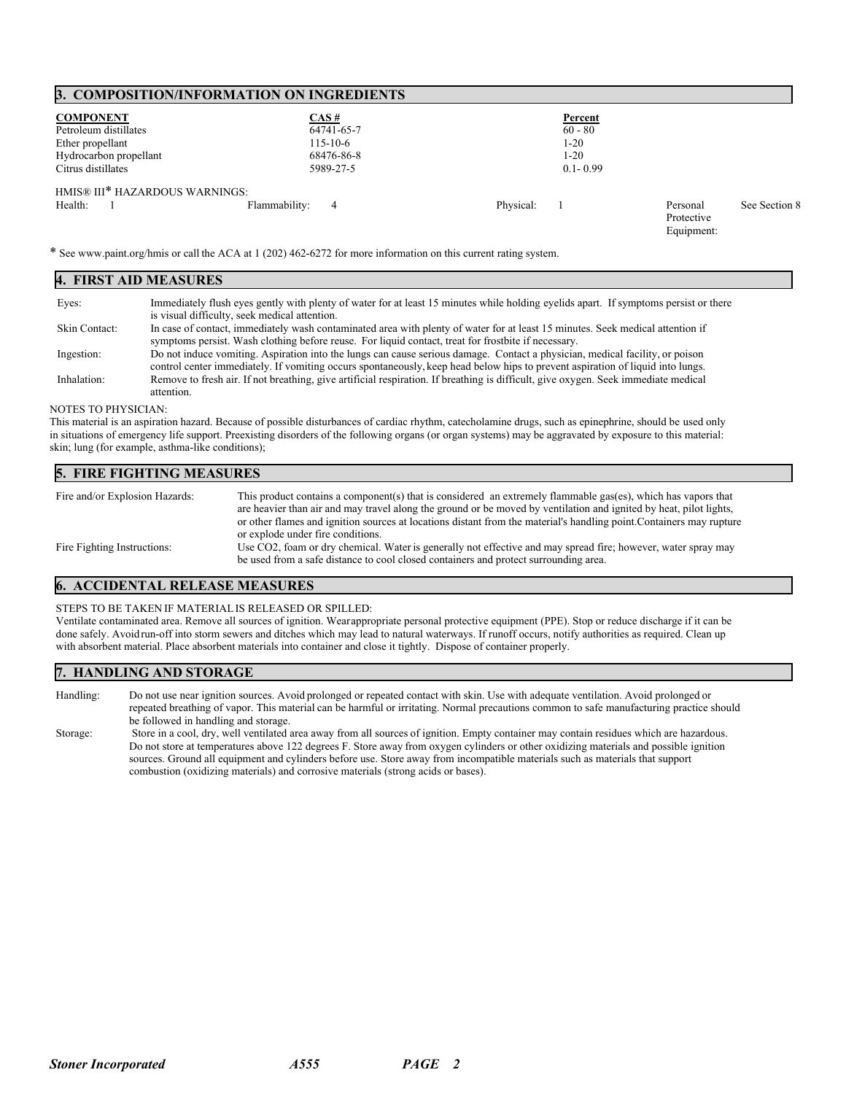#### **3. COMPOSITION/INFORMATION ON INGREDIENTS**

| <b>COMPONENT</b>               | CAS#               | Percent      |                                      |               |
|--------------------------------|--------------------|--------------|--------------------------------------|---------------|
| Petroleum distillates          | 64741-65-7         | $60 - 80$    |                                      |               |
| Ether propellant               | $115 - 10 - 6$     | 1-20         |                                      |               |
| Hydrocarbon propellant         | 68476-86-8         | $1-20$       |                                      |               |
| Citrus distillates             | 5989-27-5          | $0.1 - 0.99$ |                                      |               |
| HMIS® III* HAZARDOUS WARNINGS: |                    |              |                                      |               |
| Health:                        | Flammability:<br>4 | Physical:    | Personal<br>Protective<br>Equipment: | See Section 8 |

\* See www.paint.org/hmis or call the ACA at 1 (202) 462-6272 for more information on this current rating system.

| 4. FIRST AID MEASURES |                                                                                                                                                                                                                                                                |  |  |  |
|-----------------------|----------------------------------------------------------------------------------------------------------------------------------------------------------------------------------------------------------------------------------------------------------------|--|--|--|
| Eyes:                 | Immediately flush eyes gently with plenty of water for at least 15 minutes while holding eyelids apart. If symptoms persist or there<br>is visual difficulty, seek medical attention.                                                                          |  |  |  |
| Skin Contact:         | In case of contact, immediately wash contaminated area with plenty of water for at least 15 minutes. Seek medical attention if<br>symptoms persist. Wash clothing before reuse. For liquid contact, treat for frostbite if necessary.                          |  |  |  |
| Ingestion:            | Do not induce vomiting. Aspiration into the lungs can cause serious damage. Contact a physician, medical facility, or poison<br>control center immediately. If vomiting occurs spontaneously, keep head below hips to prevent aspiration of liquid into lungs. |  |  |  |
| Inhalation:           | Remove to fresh air. If not breathing, give artificial respiration. If breathing is difficult, give oxygen. Seek immediate medical<br>attention.                                                                                                               |  |  |  |

#### NOTES TO PHYSICIAN:

This material is an aspiration hazard. Because of possible disturbances of cardiac rhythm, catecholamine drugs, such as epinephrine, should be used only in situations of emergency life support. Preexisting disorders of the following organs (or organ systems) may be aggravated by exposure to this material: skin; lung (for example, asthma-like conditions);

### **5. FIRE FIGHTING MEASURES** Fire and/or Explosion Hazards: This product contains a component(s) that is considered an extremely flammable gas(es), which has vapors that are heavier than air and may travel along the ground or be moved by ventilation and ignited by heat, pilot lights,

|                             | are neavier than air and may travel along the ground or be moved by ventilation and ignited by neat, priot lignts,   |
|-----------------------------|----------------------------------------------------------------------------------------------------------------------|
|                             | or other flames and ignition sources at locations distant from the material's handling point. Containers may rupture |
|                             | or explode under fire conditions.                                                                                    |
| Fire Fighting Instructions: | Use CO2, foam or dry chemical. Water is generally not effective and may spread fire; however, water spray may        |
|                             | be used from a safe distance to cool closed containers and protect surrounding area.                                 |

# **6. ACCIDENTAL RELEASE MEASURES**

#### STEPS TO BE TAKEN IF MATERIALIS RELEASED OR SPILLED:

Ventilate contaminated area. Remove all sources of ignition. Wearappropriate personal protective equipment (PPE). Stop or reduce discharge if it can be done safely. Avoidrun-off into storm sewers and ditches which may lead to natural waterways. If runoff occurs, notify authorities as required. Clean up with absorbent material. Place absorbent materials into container and close it tightly. Dispose of container properly.

#### **7. HANDLING AND STORAGE**

Handling: Do not use near ignition sources. Avoid prolonged or repeated contact with skin. Use with adequate ventilation. Avoid prolonged or repeated breathing of vapor. This material can be harmful or irritating. Normal precautions common to safe manufacturing practice should be followed in handling and storage.

Storage: Store in a cool, dry, well ventilated area away from all sources of ignition. Empty container may contain residues which are hazardous. Do not store at temperatures above 122 degrees F. Store away from oxygen cylinders or other oxidizing materials and possible ignition sources. Ground all equipment and cylinders before use. Store away from incompatible materials such as materials that support combustion (oxidizing materials) and corrosive materials (strong acids or bases).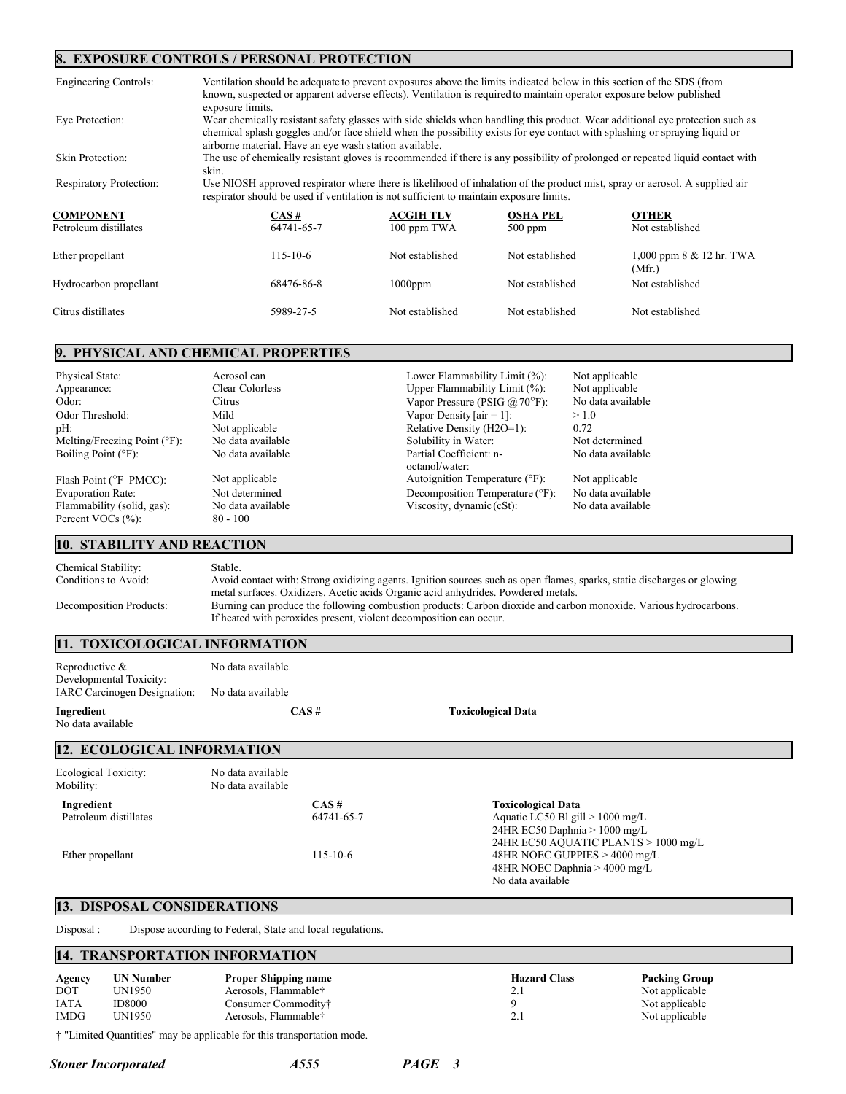#### **8. EXPOSURE CONTROLS / PERSONAL PROTECTION**

| Engineering Controls:   | Ventilation should be adequate to prevent exposures above the limits indicated below in this section of the SDS (from<br>known, suspected or apparent adverse effects). Ventilation is required to maintain operator exposure below published<br>exposure limits.                                                      |                 |                 |                                         |  |
|-------------------------|------------------------------------------------------------------------------------------------------------------------------------------------------------------------------------------------------------------------------------------------------------------------------------------------------------------------|-----------------|-----------------|-----------------------------------------|--|
| Eve Protection:         | Wear chemically resistant safety glasses with side shields when handling this product. Wear additional eve protection such as<br>chemical splash goggles and/or face shield when the possibility exists for eye contact with splashing or spraying liquid or<br>airborne material. Have an eye wash station available. |                 |                 |                                         |  |
| Skin Protection:        | The use of chemically resistant gloves is recommended if there is any possibility of prolonged or repeated liquid contact with<br>skin.                                                                                                                                                                                |                 |                 |                                         |  |
| Respiratory Protection: | Use NIOSH approved respirator where there is likelihood of inhalation of the product mist, spray or aerosol. A supplied air<br>respirator should be used if ventilation is not sufficient to maintain exposure limits.                                                                                                 |                 |                 |                                         |  |
| <b>COMPONENT</b>        | <b>ACGIH TLV</b><br>CAS #<br><b>OSHA PEL</b><br><b>OTHER</b>                                                                                                                                                                                                                                                           |                 |                 |                                         |  |
| Petroleum distillates   | 64741-65-7                                                                                                                                                                                                                                                                                                             | 100 ppm TWA     | $500$ ppm       | Not established                         |  |
| Ether propellant        | $115 - 10 - 6$                                                                                                                                                                                                                                                                                                         | Not established | Not established | $1,000$ ppm $8 \& 12$ hr. TWA<br>(Mfr.) |  |
| Hydrocarbon propellant  | 68476-86-8                                                                                                                                                                                                                                                                                                             | $1000$ ppm      | Not established | Not established                         |  |
| Citrus distillates      | 5989-27-5                                                                                                                                                                                                                                                                                                              | Not established | Not established | Not established                         |  |

# **9. PHYSICAL AND CHEMICAL PROPERTIES**

| Physical State:                     | Aerosol can       | Lower Flammability Limit (%):             | Not applicable    |
|-------------------------------------|-------------------|-------------------------------------------|-------------------|
| Appearance:                         | Clear Colorless   | Upper Flammability Limit (%):             | Not applicable    |
| Odor:                               | Citrus            | Vapor Pressure (PSIG $\omega$ 70°F):      | No data available |
| Odor Threshold:                     | Mild              | Vapor Density [air = 1]:                  | >1.0              |
| pH:                                 | Not applicable    | Relative Density (H2O=1):                 | 0.72              |
| Melting/Freezing Point $(°F)$ :     | No data available | Solubility in Water:                      | Not determined    |
| Boiling Point $(°F)$ :              | No data available | Partial Coefficient: n-<br>octanol/water: | No data available |
| Flash Point ( ${}^{\circ}$ F PMCC): | Not applicable    | Autoignition Temperature (°F):            | Not applicable    |
| Evaporation Rate:                   | Not determined    | Decomposition Temperature (°F):           | No data available |
| Flammability (solid, gas):          | No data available | Viscosity, dynamic $(cSt)$ :              | No data available |
| Percent VOCs (%):                   | $80 - 100$        |                                           |                   |

# **10. STABILITY AND REACTION**

| Chemical Stability:     | Stable.                                                                                                                 |
|-------------------------|-------------------------------------------------------------------------------------------------------------------------|
| Conditions to Avoid:    | Avoid contact with: Strong oxidizing agents. Ignition sources such as open flames, sparks, static discharges or glowing |
|                         | metal surfaces. Oxidizers. Acetic acids Organic acid anhydrides. Powdered metals.                                       |
| Decomposition Products: | Burning can produce the following combustion products: Carbon dioxide and carbon monoxide. Various hydrocarbons.        |
|                         | If heated with peroxides present, violent decomposition can occur.                                                      |

### **11. TOXICOLOGICAL INFORMATION**

| Reproductive $&$<br>Developmental Toxicity:    | No data available. |                           |
|------------------------------------------------|--------------------|---------------------------|
| IARC Carcinogen Designation: No data available |                    |                           |
| Ingredient<br>No data available                | CAS#               | <b>Toxicological Data</b> |

# **12. ECOLOGICAL INFORMATION**

| Ecological Toxicity:<br>Mobility: | No data available<br>No data available |            |                                      |
|-----------------------------------|----------------------------------------|------------|--------------------------------------|
| Ingredient                        |                                        | $CAS \#$   | <b>Toxicological Data</b>            |
| Petroleum distillates             |                                        | 64741-65-7 | Aquatic LC50 Bl gill $> 1000$ mg/L   |
|                                   |                                        |            | 24HR EC50 Daphnia $> 1000$ mg/L      |
|                                   |                                        |            | 24HR EC50 AQUATIC PLANTS > 1000 mg/L |
| Ether propellant                  |                                        | 115-10-6   | 48HR NOEC GUPPIES > 4000 mg/L        |
|                                   |                                        |            | 48HR NOEC Daphnia $> 4000$ mg/L      |
|                                   |                                        |            | No data available                    |

### **13. DISPOSAL CONSIDERATIONS**

Disposal : Dispose according to Federal, State and local regulations.

### **14. TRANSPORTATION INFORMATION**

| Agency<br><b>DOT</b> | UN Number<br>`JN1950 | <b>Proper Shipping name</b><br>Aerosols, Flammable† | <b>Hazard Class</b><br>4. | <b>Packing Group</b><br>Not applicable |
|----------------------|----------------------|-----------------------------------------------------|---------------------------|----------------------------------------|
| <b>IATA</b>          | <b>ID8000</b>        | Consumer Commodity†                                 |                           | Not applicable                         |
| <b>IMDG</b>          | JN1950               | Aerosols, Flammable†                                | 4.,                       | Not applicable                         |

† "Limited Quantities" may be applicable for this transportation mode.

*Stoner Incorporated A555 PAGE 3*